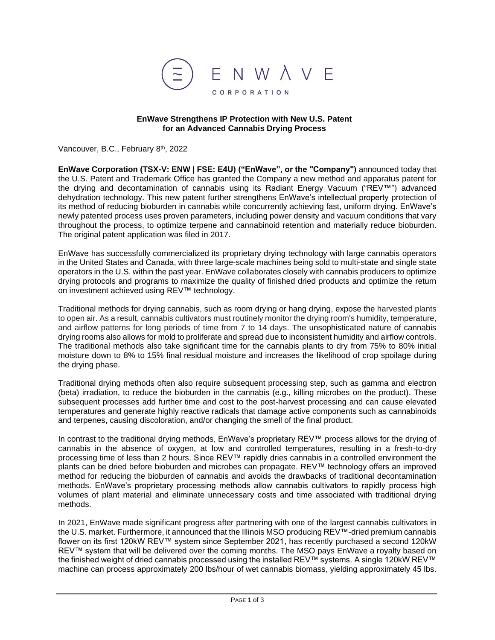

## **EnWave Strengthens IP Protection with New U.S. Patent for an Advanced Cannabis Drying Process**

Vancouver, B.C., February 8<sup>th</sup>, 2022

**EnWave Corporation (TSX-V: ENW | FSE: E4U) ("EnWave", or the "Company")** announced today that the U.S. Patent and Trademark Office has granted the Company a new method and apparatus patent for the drying and decontamination of cannabis using its Radiant Energy Vacuum ("REV™") advanced dehydration technology. This new patent further strengthens EnWave's intellectual property protection of its method of reducing bioburden in cannabis while concurrently achieving fast, uniform drying. EnWave's newly patented process uses proven parameters, including power density and vacuum conditions that vary throughout the process, to optimize terpene and cannabinoid retention and materially reduce bioburden. The original patent application was filed in 2017.

EnWave has successfully commercialized its proprietary drying technology with large cannabis operators in the United States and Canada, with three large-scale machines being sold to multi-state and single state operators in the U.S. within the past year. EnWave collaborates closely with cannabis producers to optimize drying protocols and programs to maximize the quality of finished dried products and optimize the return on investment achieved using REV™ technology.

Traditional methods for drying cannabis, such as room drying or hang drying, expose the harvested plants to open air. As a result, cannabis cultivators must routinely monitor the drying room's humidity, temperature, and airflow patterns for long periods of time from 7 to 14 days. The unsophisticated nature of cannabis drying rooms also allows for mold to proliferate and spread due to inconsistent humidity and airflow controls. The traditional methods also take significant time for the cannabis plants to dry from 75% to 80% initial moisture down to 8% to 15% final residual moisture and increases the likelihood of crop spoilage during the drying phase.

Traditional drying methods often also require subsequent processing step, such as gamma and electron (beta) irradiation, to reduce the bioburden in the cannabis (e.g., killing microbes on the product). These subsequent processes add further time and cost to the post-harvest processing and can cause elevated temperatures and generate highly reactive radicals that damage active components such as cannabinoids and terpenes, causing discoloration, and/or changing the smell of the final product.

In contrast to the traditional drying methods, EnWave's proprietary REV™ process allows for the drying of cannabis in the absence of oxygen, at low and controlled temperatures, resulting in a fresh-to-dry processing time of less than 2 hours. Since REV™ rapidly dries cannabis in a controlled environment the plants can be dried before bioburden and microbes can propagate. REV™ technology offers an improved method for reducing the bioburden of cannabis and avoids the drawbacks of traditional decontamination methods. EnWave's proprietary processing methods allow cannabis cultivators to rapidly process high volumes of plant material and eliminate unnecessary costs and time associated with traditional drying methods.

In 2021, EnWave made significant progress after partnering with one of the largest cannabis cultivators in the U.S. market. Furthermore, it announced that the Illinois MSO producing REV™-dried premium cannabis flower on its first 120kW REV™ system since September 2021, has recently purchased a second 120kW REV™ system that will be delivered over the coming months. The MSO pays EnWave a royalty based on the finished weight of dried cannabis processed using the installed REV™ systems. A single 120kW REV™ machine can process approximately 200 lbs/hour of wet cannabis biomass, yielding approximately 45 lbs.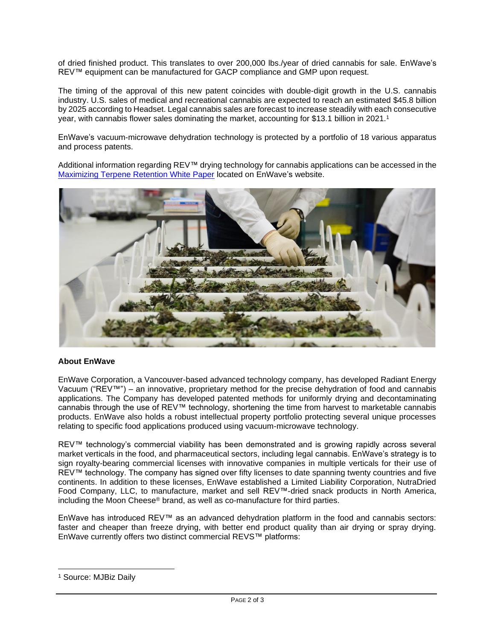of dried finished product. This translates to over 200,000 lbs./year of dried cannabis for sale. EnWave's REV™ equipment can be manufactured for GACP compliance and GMP upon request.

The timing of the approval of this new patent coincides with double-digit growth in the U.S. cannabis industry. U.S. sales of medical and recreational cannabis are expected to reach an estimated \$45.8 billion by 2025 according to Headset. Legal cannabis sales are forecast to increase steadily with each consecutive year, with cannabis flower sales dominating the market, accounting for \$13.1 billion in 2021.<sup>1</sup>

EnWave's vacuum-microwave dehydration technology is protected by a portfolio of 18 various apparatus and process patents.

Additional information regarding REV™ drying technology for cannabis applications can be accessed in the [Maximizing Terpene Retention White Paper](https://www.enwave.net/case-studies/terpene-retention-cannabis-drying) located on EnWave's website.



## **About EnWave**

EnWave Corporation, a Vancouver-based advanced technology company, has developed Radiant Energy Vacuum ("REV™") – an innovative, proprietary method for the precise dehydration of food and cannabis applications. The Company has developed patented methods for uniformly drying and decontaminating cannabis through the use of REV™ technology, shortening the time from harvest to marketable cannabis products. EnWave also holds a robust intellectual property portfolio protecting several unique processes relating to specific food applications produced using vacuum-microwave technology.

REV™ technology's commercial viability has been demonstrated and is growing rapidly across several market verticals in the food, and pharmaceutical sectors, including legal cannabis. EnWave's strategy is to sign royalty-bearing commercial licenses with innovative companies in multiple verticals for their use of REV™ technology. The company has signed over fifty licenses to date spanning twenty countries and five continents. In addition to these licenses, EnWave established a Limited Liability Corporation, NutraDried Food Company, LLC, to manufacture, market and sell REV™-dried snack products in North America, including the Moon Cheese® brand, as well as co-manufacture for third parties.

EnWave has introduced REV™ as an advanced dehydration platform in the food and cannabis sectors: faster and cheaper than freeze drying, with better end product quality than air drying or spray drying. EnWave currently offers two distinct commercial REVS™ platforms:

<sup>&</sup>lt;sup>1</sup> Source: MJBiz Daily